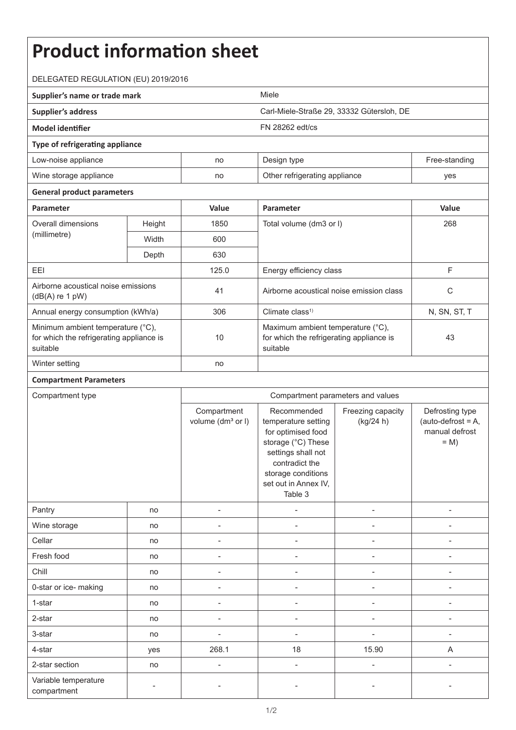## **Product information sheet** DELEGATED REGULATION (EU) 2019/2016 **Supplier's name or trade mark** Miele **Supplier's address** Carl-Miele-Straße 29, 33332 Gütersloh, DE **Model identifier** FN 28262 edt/cs **Type of refrigerating appliance** Low-noise appliance and the no Design type no Design type Free-standing Wine storage appliance and no Other refrigerating appliance yes **General product parameters Parameter Value Parameter Value** Overall dimensions (millimetre) Height 1850 Total volume (dm3 or l) 268 Width 600 Depth 630 EEI 125.0 Energy efficiency class F Airborne acoustical noise emissions Airborne acoustical noise emissions<br>(dB(A) re 1 pW) details and the construction of the constraints of the constraints of the constraints of the c Annual energy consumption (kWh/a) 306 Climate class1) N, SN, ST, T Minimum ambient temperature (°C), for which the refrigerating appliance is suitable 10 Maximum ambient temperature (°C), for which the refrigerating appliance is suitable 43 Winter setting no **Compartment Parameters** Compartment type Compartment parameters and values **Compartment** volume (dm<sup>3</sup> or I) Recommended temperature setting for optimised food storage (°C) These settings shall not contradict the storage conditions set out in Annex IV, Table 3 Freezing capacity (kg/24 h) Defrosting type  $(auto-defrost = A,$ manual defrost  $= M$ Pantry | no | - | - | - | -Wine storage no - - - - Cellar | no | - - | - - | - | -Fresh food | no | - | - | - | -Chill | no | - | - | - | -0-star or ice- making and no and no and no  $\overline{a}$  and  $\overline{a}$  are no  $\overline{a}$  and  $\overline{a}$  are no  $\overline{a}$  and  $\overline{a}$  are no  $\overline{a}$  are no  $\overline{a}$  and  $\overline{a}$  are no  $\overline{a}$  are no  $\overline{a}$  and  $\overline{a}$  are no  $\$ 1-star | no | - - | - - | - - | - -2-star | no | - - | - - | - - | -3-star | no | - - | - - | - - | - -4-star | yes | 268.1 | 18 | 15.90 | A

2-star section no - - - -

compartment and the state of the state of the state of the state of the state of the state of the state of the<br>compartment

Variable temperature